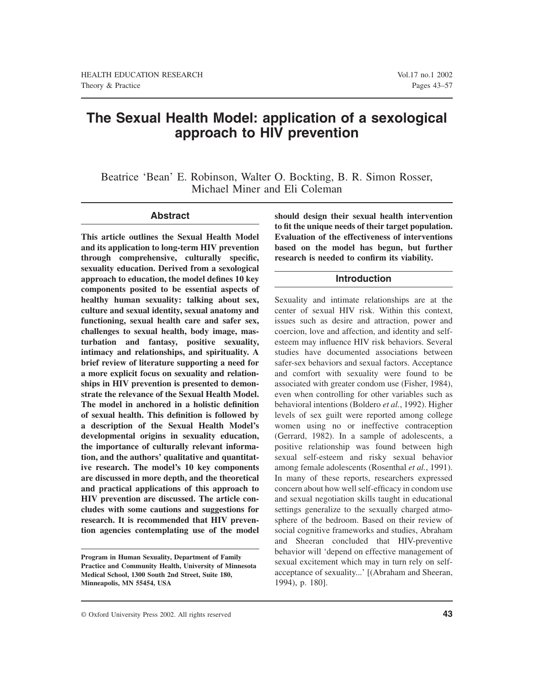# **The Sexual Health Model: application of a sexological approach to HIV prevention**

Beatrice 'Bean' E. Robinson, Walter O. Bockting, B. R. Simon Rosser, Michael Miner and Eli Coleman

#### **Abstract**

**This article outlines the Sexual Health Model and its application to long-term HIV prevention through comprehensive, culturally specific, sexuality education. Derived from a sexological approach to education, the model defines 10 key components posited to be essential aspects of healthy human sexuality: talking about sex, culture and sexual identity, sexual anatomy and functioning, sexual health care and safer sex, challenges to sexual health, body image, masturbation and fantasy, positive sexuality, intimacy and relationships, and spirituality. A brief review of literature supporting a need for a more explicit focus on sexuality and relationships in HIV prevention is presented to demonstrate the relevance of the Sexual Health Model. The model in anchored in a holistic definition of sexual health. This definition is followed by a description of the Sexual Health Model's developmental origins in sexuality education, the importance of culturally relevant information, and the authors' qualitative and quantitative research. The model's 10 key components are discussed in more depth, and the theoretical and practical applications of this approach to HIV prevention are discussed. The article concludes with some cautions and suggestions for research. It is recommended that HIV prevention agencies contemplating use of the model**

**should design their sexual health intervention to fit the unique needs of their target population. Evaluation of the effectiveness of interventions based on the model has begun, but further research is needed to confirm its viability.**

### **Introduction**

Sexuality and intimate relationships are at the center of sexual HIV risk. Within this context, issues such as desire and attraction, power and coercion, love and affection, and identity and selfesteem may influence HIV risk behaviors. Several studies have documented associations between safer-sex behaviors and sexual factors. Acceptance and comfort with sexuality were found to be associated with greater condom use (Fisher, 1984), even when controlling for other variables such as behavioral intentions (Boldero *et al.*, 1992). Higher levels of sex guilt were reported among college women using no or ineffective contraception (Gerrard, 1982). In a sample of adolescents, a positive relationship was found between high sexual self-esteem and risky sexual behavior among female adolescents (Rosenthal *et al.*, 1991). In many of these reports, researchers expressed concern about how well self-efficacy in condom use and sexual negotiation skills taught in educational settings generalize to the sexually charged atmosphere of the bedroom. Based on their review of social cognitive frameworks and studies, Abraham and Sheeran concluded that HIV-preventive behavior will 'depend on effective management of sexual excitement which may in turn rely on selfacceptance of sexuality...' [(Abraham and Sheeran, 1994), p. 180].

**Program in Human Sexuality, Department of Family Practice and Community Health, University of Minnesota Medical School, 1300 South 2nd Street, Suite 180, Minneapolis, MN 55454, USA**

<sup>©</sup> Oxford University Press 2002. All rights reserved **43**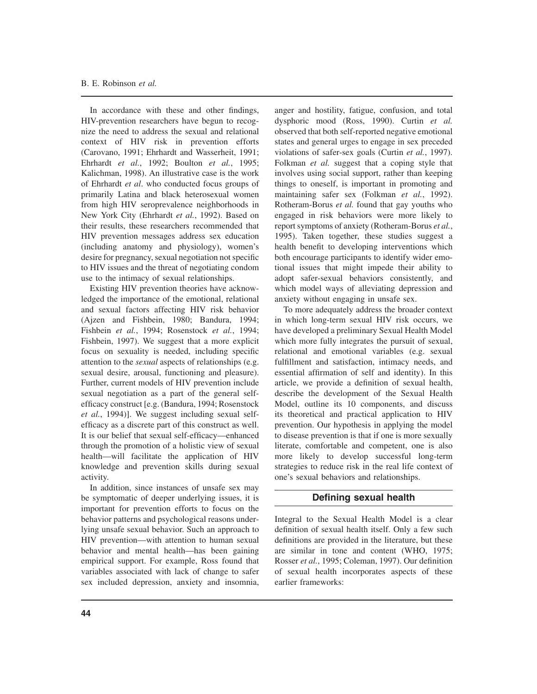In accordance with these and other findings, HIV-prevention researchers have begun to recognize the need to address the sexual and relational context of HIV risk in prevention efforts (Carovano, 1991; Ehrhardt and Wasserheit, 1991; Ehrhardt *et al.*, 1992; Boulton *et al.*, 1995; Kalichman, 1998). An illustrative case is the work of Ehrhardt *et al*. who conducted focus groups of primarily Latina and black heterosexual women from high HIV seroprevalence neighborhoods in New York City (Ehrhardt *et al.*, 1992). Based on their results, these researchers recommended that HIV prevention messages address sex education (including anatomy and physiology), women's desire for pregnancy, sexual negotiation not specific to HIV issues and the threat of negotiating condom use to the intimacy of sexual relationships.

Existing HIV prevention theories have acknowledged the importance of the emotional, relational and sexual factors affecting HIV risk behavior (Ajzen and Fishbein, 1980; Bandura, 1994; Fishbein *et al.*, 1994; Rosenstock *et al.*, 1994; Fishbein, 1997). We suggest that a more explicit focus on sexuality is needed, including specific attention to the *sexual* aspects of relationships (e.g. sexual desire, arousal, functioning and pleasure). Further, current models of HIV prevention include sexual negotiation as a part of the general selfefficacy construct [e.g. (Bandura, 1994; Rosenstock *et al.*, 1994)]. We suggest including sexual selfefficacy as a discrete part of this construct as well. It is our belief that sexual self-efficacy—enhanced through the promotion of a holistic view of sexual health—will facilitate the application of HIV knowledge and prevention skills during sexual activity.

In addition, since instances of unsafe sex may be symptomatic of deeper underlying issues, it is important for prevention efforts to focus on the behavior patterns and psychological reasons underlying unsafe sexual behavior. Such an approach to HIV prevention—with attention to human sexual behavior and mental health—has been gaining empirical support. For example, Ross found that variables associated with lack of change to safer sex included depression, anxiety and insomnia,

anger and hostility, fatigue, confusion, and total dysphoric mood (Ross, 1990). Curtin *et al.* observed that both self-reported negative emotional states and general urges to engage in sex preceded violations of safer-sex goals (Curtin *et al.*, 1997). Folkman *et al.* suggest that a coping style that involves using social support, rather than keeping things to oneself, is important in promoting and maintaining safer sex (Folkman *et al.*, 1992). Rotheram-Borus *et al.* found that gay youths who engaged in risk behaviors were more likely to report symptoms of anxiety (Rotheram-Borus *et al.*, 1995). Taken together, these studies suggest a health benefit to developing interventions which both encourage participants to identify wider emotional issues that might impede their ability to adopt safer-sexual behaviors consistently, and which model ways of alleviating depression and anxiety without engaging in unsafe sex.

To more adequately address the broader context in which long-term sexual HIV risk occurs, we have developed a preliminary Sexual Health Model which more fully integrates the pursuit of sexual, relational and emotional variables (e.g. sexual fulfillment and satisfaction, intimacy needs, and essential affirmation of self and identity). In this article, we provide a definition of sexual health, describe the development of the Sexual Health Model, outline its 10 components, and discuss its theoretical and practical application to HIV prevention. Our hypothesis in applying the model to disease prevention is that if one is more sexually literate, comfortable and competent, one is also more likely to develop successful long-term strategies to reduce risk in the real life context of one's sexual behaviors and relationships.

#### **Defining sexual health**

Integral to the Sexual Health Model is a clear definition of sexual health itself. Only a few such definitions are provided in the literature, but these are similar in tone and content (WHO, 1975; Rosser *et al.*, 1995; Coleman, 1997). Our definition of sexual health incorporates aspects of these earlier frameworks: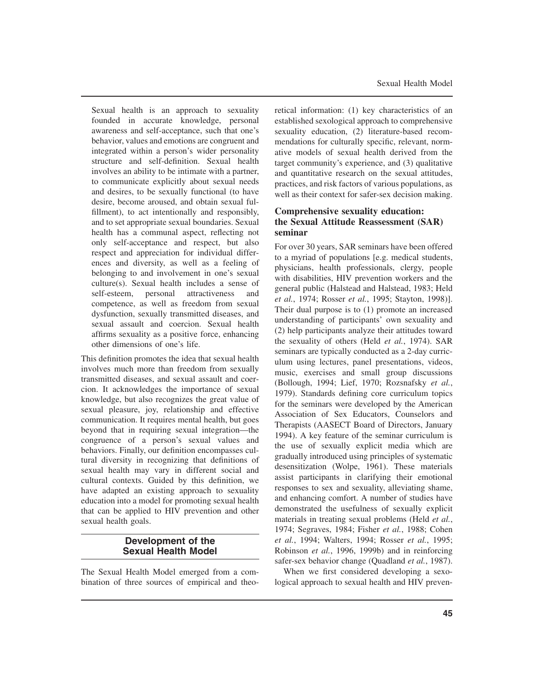Sexual health is an approach to sexuality founded in accurate knowledge, personal awareness and self-acceptance, such that one's behavior, values and emotions are congruent and integrated within a person's wider personality structure and self-definition. Sexual health involves an ability to be intimate with a partner, to communicate explicitly about sexual needs and desires, to be sexually functional (to have desire, become aroused, and obtain sexual fulfillment), to act intentionally and responsibly, and to set appropriate sexual boundaries. Sexual health has a communal aspect, reflecting not only self-acceptance and respect, but also respect and appreciation for individual differences and diversity, as well as a feeling of belonging to and involvement in one's sexual culture(s). Sexual health includes a sense of self-esteem, personal attractiveness and competence, as well as freedom from sexual dysfunction, sexually transmitted diseases, and sexual assault and coercion. Sexual health affirms sexuality as a positive force, enhancing other dimensions of one's life.

This definition promotes the idea that sexual health involves much more than freedom from sexually transmitted diseases, and sexual assault and coercion. It acknowledges the importance of sexual knowledge, but also recognizes the great value of sexual pleasure, joy, relationship and effective communication. It requires mental health, but goes beyond that in requiring sexual integration—the congruence of a person's sexual values and behaviors. Finally, our definition encompasses cultural diversity in recognizing that definitions of sexual health may vary in different social and cultural contexts. Guided by this definition, we have adapted an existing approach to sexuality education into a model for promoting sexual health that can be applied to HIV prevention and other sexual health goals.

# **Development of the Sexual Health Model**

The Sexual Health Model emerged from a combination of three sources of empirical and theoretical information: (1) key characteristics of an established sexological approach to comprehensive sexuality education, (2) literature-based recommendations for culturally specific, relevant, normative models of sexual health derived from the target community's experience, and (3) qualitative and quantitative research on the sexual attitudes, practices, and risk factors of various populations, as well as their context for safer-sex decision making.

# **Comprehensive sexuality education: the Sexual Attitude Reassessment (SAR) seminar**

For over 30 years, SAR seminars have been offered to a myriad of populations [e.g. medical students, physicians, health professionals, clergy, people with disabilities, HIV prevention workers and the general public (Halstead and Halstead, 1983; Held *et al.*, 1974; Rosser *et al.*, 1995; Stayton, 1998)]. Their dual purpose is to (1) promote an increased understanding of participants' own sexuality and (2) help participants analyze their attitudes toward the sexuality of others (Held *et al.*, 1974). SAR seminars are typically conducted as a 2-day curriculum using lectures, panel presentations, videos, music, exercises and small group discussions (Bollough, 1994; Lief, 1970; Rozsnafsky *et al.*, 1979). Standards defining core curriculum topics for the seminars were developed by the American Association of Sex Educators, Counselors and Therapists (AASECT Board of Directors, January 1994). A key feature of the seminar curriculum is the use of sexually explicit media which are gradually introduced using principles of systematic desensitization (Wolpe, 1961). These materials assist participants in clarifying their emotional responses to sex and sexuality, alleviating shame, and enhancing comfort. A number of studies have demonstrated the usefulness of sexually explicit materials in treating sexual problems (Held *et al.*, 1974; Segraves, 1984; Fisher *et al.*, 1988; Cohen *et al.*, 1994; Walters, 1994; Rosser *et al.*, 1995; Robinson *et al.*, 1996, 1999b) and in reinforcing safer-sex behavior change (Quadland *et al.*, 1987).

When we first considered developing a sexological approach to sexual health and HIV preven-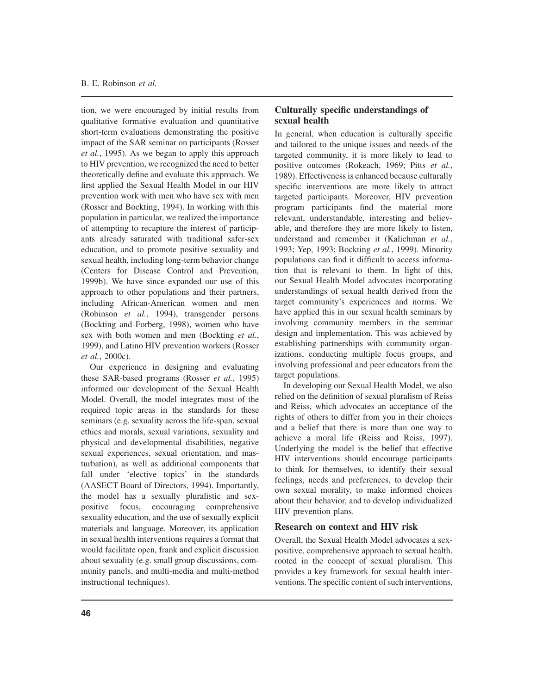tion, we were encouraged by initial results from qualitative formative evaluation and quantitative short-term evaluations demonstrating the positive impact of the SAR seminar on participants (Rosser *et al.*, 1995). As we began to apply this approach to HIV prevention, we recognized the need to better theoretically define and evaluate this approach. We first applied the Sexual Health Model in our HIV prevention work with men who have sex with men (Rosser and Bockting, 1994). In working with this population in particular, we realized the importance of attempting to recapture the interest of participants already saturated with traditional safer-sex education, and to promote positive sexuality and sexual health, including long-term behavior change (Centers for Disease Control and Prevention, 1999b). We have since expanded our use of this approach to other populations and their partners, including African-American women and men (Robinson *et al.*, 1994), transgender persons (Bockting and Forberg, 1998), women who have sex with both women and men (Bockting *et al.*, 1999), and Latino HIV prevention workers (Rosser *et al.*, 2000c).

Our experience in designing and evaluating these SAR-based programs (Rosser *et al.*, 1995) informed our development of the Sexual Health Model. Overall, the model integrates most of the required topic areas in the standards for these seminars (e.g. sexuality across the life-span, sexual ethics and morals, sexual variations, sexuality and physical and developmental disabilities, negative sexual experiences, sexual orientation, and masturbation), as well as additional components that fall under 'elective topics' in the standards (AASECT Board of Directors, 1994). Importantly, the model has a sexually pluralistic and sexpositive focus, encouraging comprehensive sexuality education, and the use of sexually explicit materials and language. Moreover, its application in sexual health interventions requires a format that would facilitate open, frank and explicit discussion about sexuality (e.g. small group discussions, community panels, and multi-media and multi-method instructional techniques).

# **Culturally specific understandings of sexual health**

In general, when education is culturally specific and tailored to the unique issues and needs of the targeted community, it is more likely to lead to positive outcomes (Rokeach, 1969; Pitts *et al.*, 1989). Effectiveness is enhanced because culturally specific interventions are more likely to attract targeted participants. Moreover, HIV prevention program participants find the material more relevant, understandable, interesting and believable, and therefore they are more likely to listen, understand and remember it (Kalichman *et al.*, 1993; Yep, 1993; Bockting *et al.*, 1999). Minority populations can find it difficult to access information that is relevant to them. In light of this, our Sexual Health Model advocates incorporating understandings of sexual health derived from the target community's experiences and norms. We have applied this in our sexual health seminars by involving community members in the seminar design and implementation. This was achieved by establishing partnerships with community organizations, conducting multiple focus groups, and involving professional and peer educators from the target populations.

In developing our Sexual Health Model, we also relied on the definition of sexual pluralism of Reiss and Reiss, which advocates an acceptance of the rights of others to differ from you in their choices and a belief that there is more than one way to achieve a moral life (Reiss and Reiss, 1997). Underlying the model is the belief that effective HIV interventions should encourage participants to think for themselves, to identify their sexual feelings, needs and preferences, to develop their own sexual morality, to make informed choices about their behavior, and to develop individualized HIV prevention plans.

#### **Research on context and HIV risk**

Overall, the Sexual Health Model advocates a sexpositive, comprehensive approach to sexual health, rooted in the concept of sexual pluralism. This provides a key framework for sexual health interventions. The specific content of such interventions,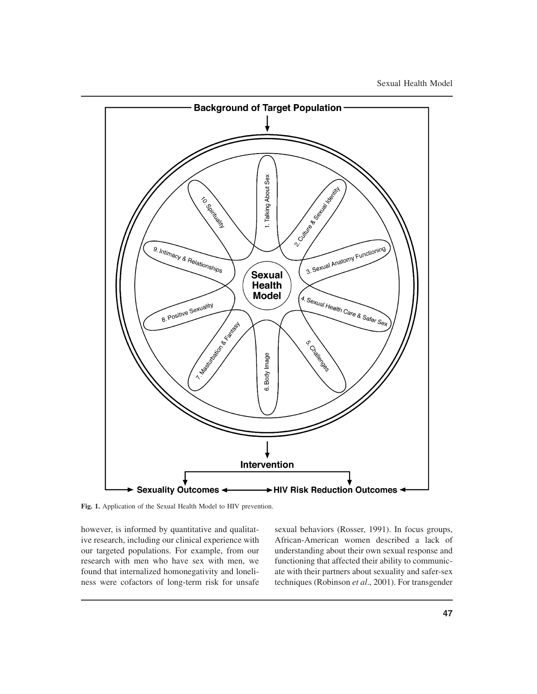

**Fig. 1.** Application of the Sexual Health Model to HIV prevention.

however, is informed by quantitative and qualitative research, including our clinical experience with our targeted populations. For example, from our research with men who have sex with men, we found that internalized homonegativity and loneliness were cofactors of long-term risk for unsafe sexual behaviors (Rosser, 1991). In focus groups, African-American women described a lack of understanding about their own sexual response and functioning that affected their ability to communicate with their partners about sexuality and safer-sex techniques (Robinson *et al*., 2001). For transgender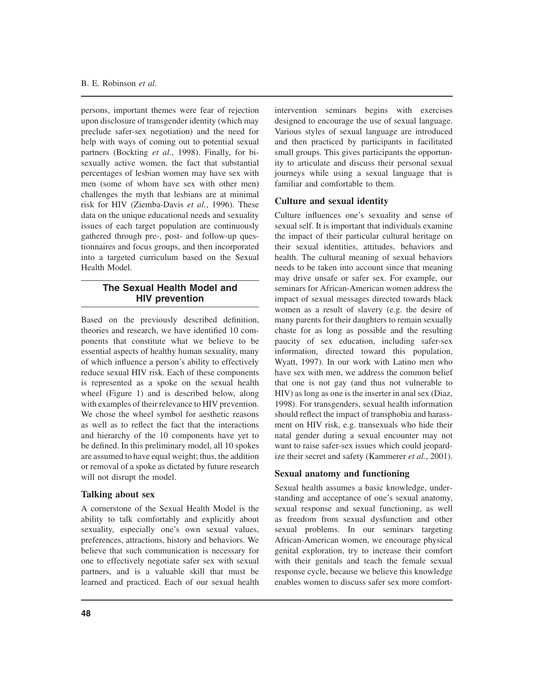persons, important themes were fear of rejection upon disclosure of transgender identity (which may preclude safer-sex negotiation) and the need for help with ways of coming out to potential sexual partners (Bockting *et al.*, 1998). Finally, for bisexually active women, the fact that substantial percentages of lesbian women may have sex with men (some of whom have sex with other men) challenges the myth that lesbians are at minimal risk for HIV (Ziemba-Davis *et al.*, 1996). These data on the unique educational needs and sexuality issues of each target population are continuously gathered through pre-, post- and follow-up questionnaires and focus groups, and then incorporated into a targeted curriculum based on the Sexual Health Model.

# **The Sexual Health Model and HIV prevention**

Based on the previously described definition, theories and research, we have identified 10 components that constitute what we believe to be essential aspects of healthy human sexuality, many of which influence a person's ability to effectively reduce sexual HIV risk. Each of these components is represented as a spoke on the sexual health wheel (Figure 1) and is described below, along with examples of their relevance to HIV prevention. We chose the wheel symbol for aesthetic reasons as well as to reflect the fact that the interactions and hierarchy of the 10 components have yet to be defined. In this preliminary model, all 10 spokes are assumed to have equal weight; thus, the addition or removal of a spoke as dictated by future research will not disrupt the model.

#### **Talking about sex**

A cornerstone of the Sexual Health Model is the ability to talk comfortably and explicitly about sexuality, especially one's own sexual values, preferences, attractions, history and behaviors. We believe that such communication is necessary for one to effectively negotiate safer sex with sexual partners, and is a valuable skill that must be learned and practiced. Each of our sexual health

intervention seminars begins with exercises designed to encourage the use of sexual language. Various styles of sexual language are introduced and then practiced by participants in facilitated small groups. This gives participants the opportunity to articulate and discuss their personal sexual journeys while using a sexual language that is familiar and comfortable to them.

# **Culture and sexual identity**

Culture influences one's sexuality and sense of sexual self. It is important that individuals examine the impact of their particular cultural heritage on their sexual identities, attitudes, behaviors and health. The cultural meaning of sexual behaviors needs to be taken into account since that meaning may drive unsafe or safer sex. For example, our seminars for African-American women address the impact of sexual messages directed towards black women as a result of slavery (e.g. the desire of many parents for their daughters to remain sexually chaste for as long as possible and the resulting paucity of sex education, including safer-sex information, directed toward this population, Wyatt, 1997). In our work with Latino men who have sex with men, we address the common belief that one is not gay (and thus not vulnerable to HIV) as long as one is the inserter in anal sex (Diaz, 1998). For transgenders, sexual health information should reflect the impact of transphobia and harassment on HIV risk, e.g. transexuals who hide their natal gender during a sexual encounter may not want to raise safer-sex issues which could jeopardize their secret and safety (Kammerer *et al.*, 2001).

#### **Sexual anatomy and functioning**

Sexual health assumes a basic knowledge, understanding and acceptance of one's sexual anatomy, sexual response and sexual functioning, as well as freedom from sexual dysfunction and other sexual problems. In our seminars targeting African-American women, we encourage physical genital exploration, try to increase their comfort with their genitals and teach the female sexual response cycle, because we believe this knowledge enables women to discuss safer sex more comfort-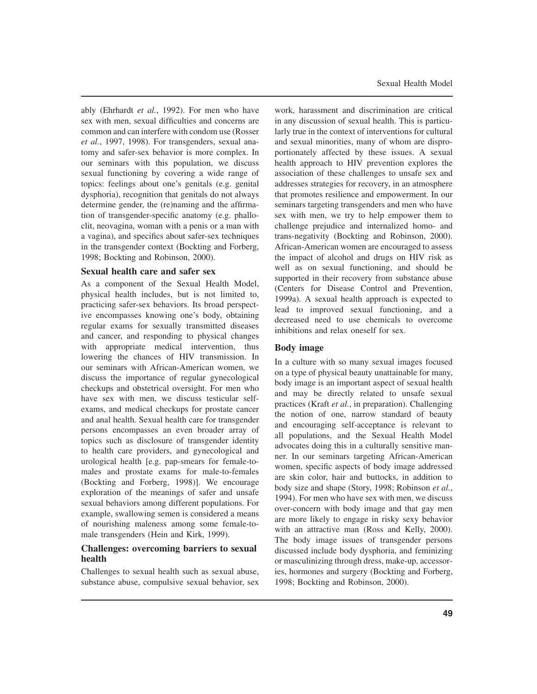Sexual Health Model

ably (Ehrhardt *et al.*, 1992). For men who have sex with men, sexual difficulties and concerns are common and can interfere with condom use (Rosser *et al.*, 1997, 1998). For transgenders, sexual anatomy and safer-sex behavior is more complex. In our seminars with this population, we discuss sexual functioning by covering a wide range of topics: feelings about one's genitals (e.g. genital dysphoria), recognition that genitals do not always determine gender, the (re)naming and the affirmation of transgender-specific anatomy (e.g. phalloclit, neovagina, woman with a penis or a man with a vagina), and specifics about safer-sex techniques in the transgender context (Bockting and Forberg, 1998; Bockting and Robinson, 2000).

## **Sexual health care and safer sex**

As a component of the Sexual Health Model, physical health includes, but is not limited to, practicing safer-sex behaviors. Its broad perspective encompasses knowing one's body, obtaining regular exams for sexually transmitted diseases and cancer, and responding to physical changes with appropriate medical intervention, thus lowering the chances of HIV transmission. In our seminars with African-American women, we discuss the importance of regular gynecological checkups and obstetrical oversight. For men who have sex with men, we discuss testicular selfexams, and medical checkups for prostate cancer and anal health. Sexual health care for transgender persons encompasses an even broader array of topics such as disclosure of transgender identity to health care providers, and gynecological and urological health [e.g. pap-smears for female-tomales and prostate exams for male-to-females (Bockting and Forberg, 1998)]. We encourage exploration of the meanings of safer and unsafe sexual behaviors among different populations. For example, swallowing semen is considered a means of nourishing maleness among some female-tomale transgenders (Hein and Kirk, 1999).

# **Challenges: overcoming barriers to sexual health**

Challenges to sexual health such as sexual abuse, substance abuse, compulsive sexual behavior, sex work, harassment and discrimination are critical in any discussion of sexual health. This is particularly true in the context of interventions for cultural and sexual minorities, many of whom are disproportionately affected by these issues. A sexual health approach to HIV prevention explores the association of these challenges to unsafe sex and addresses strategies for recovery, in an atmosphere that promotes resilience and empowerment. In our seminars targeting transgenders and men who have sex with men, we try to help empower them to challenge prejudice and internalized homo- and trans-negativity (Bockting and Robinson, 2000). African-American women are encouraged to assess the impact of alcohol and drugs on HIV risk as well as on sexual functioning, and should be supported in their recovery from substance abuse (Centers for Disease Control and Prevention, 1999a). A sexual health approach is expected to lead to improved sexual functioning, and a decreased need to use chemicals to overcome inhibitions and relax oneself for sex.

# **Body image**

In a culture with so many sexual images focused on a type of physical beauty unattainable for many, body image is an important aspect of sexual health and may be directly related to unsafe sexual practices (Kraft *et al.*, in preparation). Challenging the notion of one, narrow standard of beauty and encouraging self-acceptance is relevant to all populations, and the Sexual Health Model advocates doing this in a culturally sensitive manner. In our seminars targeting African-American women, specific aspects of body image addressed are skin color, hair and buttocks, in addition to body size and shape (Story, 1998; Robinson *et al.*, 1994). For men who have sex with men, we discuss over-concern with body image and that gay men are more likely to engage in risky sexy behavior with an attractive man (Ross and Kelly, 2000). The body image issues of transgender persons discussed include body dysphoria, and feminizing or masculinizing through dress, make-up, accessories, hormones and surgery (Bockting and Forberg, 1998; Bockting and Robinson, 2000).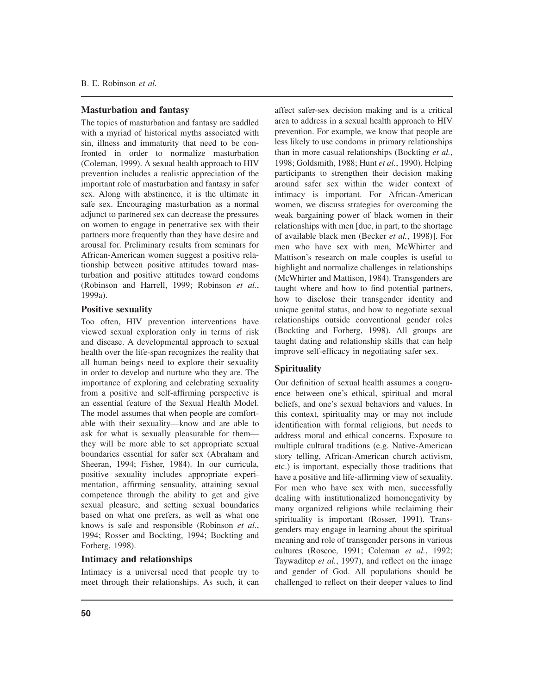#### **Masturbation and fantasy**

The topics of masturbation and fantasy are saddled with a myriad of historical myths associated with sin, illness and immaturity that need to be confronted in order to normalize masturbation (Coleman, 1999). A sexual health approach to HIV prevention includes a realistic appreciation of the important role of masturbation and fantasy in safer sex. Along with abstinence, it is the ultimate in safe sex. Encouraging masturbation as a normal adjunct to partnered sex can decrease the pressures on women to engage in penetrative sex with their partners more frequently than they have desire and arousal for. Preliminary results from seminars for African-American women suggest a positive relationship between positive attitudes toward masturbation and positive attitudes toward condoms (Robinson and Harrell, 1999; Robinson *et al.*, 1999a).

#### **Positive sexuality**

Too often, HIV prevention interventions have viewed sexual exploration only in terms of risk and disease. A developmental approach to sexual health over the life-span recognizes the reality that all human beings need to explore their sexuality in order to develop and nurture who they are. The importance of exploring and celebrating sexuality from a positive and self-affirming perspective is an essential feature of the Sexual Health Model. The model assumes that when people are comfortable with their sexuality—know and are able to ask for what is sexually pleasurable for them they will be more able to set appropriate sexual boundaries essential for safer sex (Abraham and Sheeran, 1994; Fisher, 1984). In our curricula, positive sexuality includes appropriate experimentation, affirming sensuality, attaining sexual competence through the ability to get and give sexual pleasure, and setting sexual boundaries based on what one prefers, as well as what one knows is safe and responsible (Robinson *et al.*, 1994; Rosser and Bockting, 1994; Bockting and Forberg, 1998).

## **Intimacy and relationships**

Intimacy is a universal need that people try to meet through their relationships. As such, it can affect safer-sex decision making and is a critical area to address in a sexual health approach to HIV prevention. For example, we know that people are less likely to use condoms in primary relationships than in more casual relationships (Bockting *et al.*, 1998; Goldsmith, 1988; Hunt *et al.*, 1990). Helping participants to strengthen their decision making around safer sex within the wider context of intimacy is important. For African-American women, we discuss strategies for overcoming the weak bargaining power of black women in their relationships with men [due, in part, to the shortage of available black men (Becker *et al.*, 1998)]. For men who have sex with men, McWhirter and Mattison's research on male couples is useful to highlight and normalize challenges in relationships (McWhirter and Mattison, 1984). Transgenders are taught where and how to find potential partners, how to disclose their transgender identity and unique genital status, and how to negotiate sexual relationships outside conventional gender roles (Bockting and Forberg, 1998). All groups are taught dating and relationship skills that can help improve self-efficacy in negotiating safer sex.

### **Spirituality**

Our definition of sexual health assumes a congruence between one's ethical, spiritual and moral beliefs, and one's sexual behaviors and values. In this context, spirituality may or may not include identification with formal religions, but needs to address moral and ethical concerns. Exposure to multiple cultural traditions (e.g. Native-American story telling, African-American church activism, etc.) is important, especially those traditions that have a positive and life-affirming view of sexuality. For men who have sex with men, successfully dealing with institutionalized homonegativity by many organized religions while reclaiming their spirituality is important (Rosser, 1991). Transgenders may engage in learning about the spiritual meaning and role of transgender persons in various cultures (Roscoe, 1991; Coleman *et al.*, 1992; Taywaditep *et al.*, 1997), and reflect on the image and gender of God. All populations should be challenged to reflect on their deeper values to find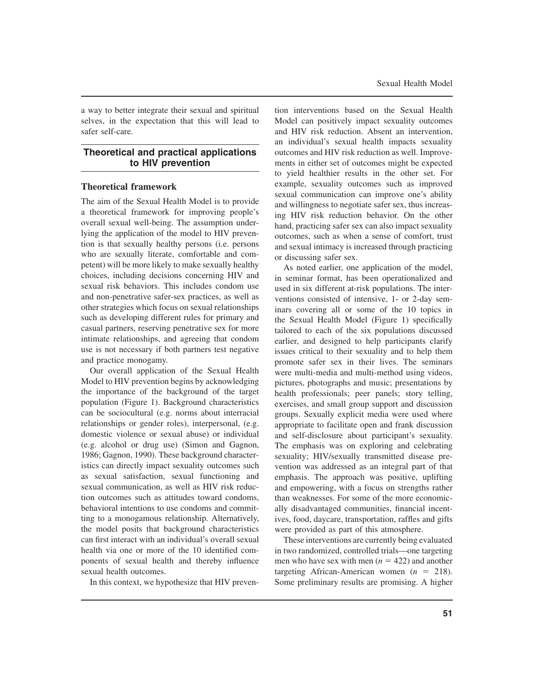a way to better integrate their sexual and spiritual selves, in the expectation that this will lead to safer self-care.

# **Theoretical and practical applications to HIV prevention**

### **Theoretical framework**

The aim of the Sexual Health Model is to provide a theoretical framework for improving people's overall sexual well-being. The assumption underlying the application of the model to HIV prevention is that sexually healthy persons (i.e. persons who are sexually literate, comfortable and competent) will be more likely to make sexually healthy choices, including decisions concerning HIV and sexual risk behaviors. This includes condom use and non-penetrative safer-sex practices, as well as other strategies which focus on sexual relationships such as developing different rules for primary and casual partners, reserving penetrative sex for more intimate relationships, and agreeing that condom use is not necessary if both partners test negative and practice monogamy.

Our overall application of the Sexual Health Model to HIV prevention begins by acknowledging the importance of the background of the target population (Figure 1). Background characteristics can be sociocultural (e.g. norms about interracial relationships or gender roles), interpersonal, (e.g. domestic violence or sexual abuse) or individual (e.g. alcohol or drug use) (Simon and Gagnon, 1986; Gagnon, 1990). These background characteristics can directly impact sexuality outcomes such as sexual satisfaction, sexual functioning and sexual communication, as well as HIV risk reduction outcomes such as attitudes toward condoms, behavioral intentions to use condoms and committing to a monogamous relationship. Alternatively, the model posits that background characteristics can first interact with an individual's overall sexual health via one or more of the 10 identified components of sexual health and thereby influence sexual health outcomes.

In this context, we hypothesize that HIV preven-

tion interventions based on the Sexual Health Model can positively impact sexuality outcomes and HIV risk reduction. Absent an intervention, an individual's sexual health impacts sexuality outcomes and HIV risk reduction as well. Improvements in either set of outcomes might be expected to yield healthier results in the other set. For example, sexuality outcomes such as improved sexual communication can improve one's ability and willingness to negotiate safer sex, thus increasing HIV risk reduction behavior. On the other hand, practicing safer sex can also impact sexuality outcomes, such as when a sense of comfort, trust and sexual intimacy is increased through practicing or discussing safer sex.

As noted earlier, one application of the model, in seminar format, has been operationalized and used in six different at-risk populations. The interventions consisted of intensive, 1- or 2-day seminars covering all or some of the 10 topics in the Sexual Health Model (Figure 1) specifically tailored to each of the six populations discussed earlier, and designed to help participants clarify issues critical to their sexuality and to help them promote safer sex in their lives. The seminars were multi-media and multi-method using videos, pictures, photographs and music; presentations by health professionals; peer panels; story telling, exercises, and small group support and discussion groups. Sexually explicit media were used where appropriate to facilitate open and frank discussion and self-disclosure about participant's sexuality. The emphasis was on exploring and celebrating sexuality; HIV/sexually transmitted disease prevention was addressed as an integral part of that emphasis. The approach was positive, uplifting and empowering, with a focus on strengths rather than weaknesses. For some of the more economically disadvantaged communities, financial incentives, food, daycare, transportation, raffles and gifts were provided as part of this atmosphere.

These interventions are currently being evaluated in two randomized, controlled trials—one targeting men who have sex with men  $(n = 422)$  and another targeting African-American women  $(n = 218)$ . Some preliminary results are promising. A higher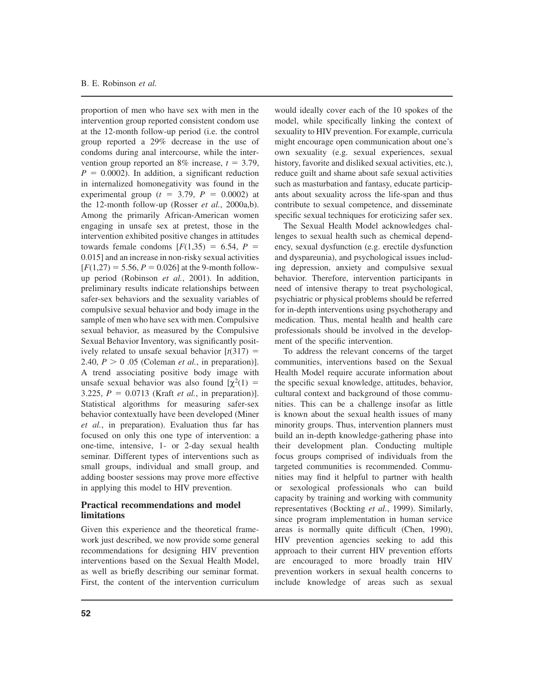proportion of men who have sex with men in the intervention group reported consistent condom use at the 12-month follow-up period (i.e. the control group reported a 29% decrease in the use of condoms during anal intercourse, while the intervention group reported an  $8\%$  increase,  $t = 3.79$ ,  $P = 0.0002$ ). In addition, a significant reduction in internalized homonegativity was found in the experimental group  $(t = 3.79, P = 0.0002)$  at the 12-month follow-up (Rosser *et al.*, 2000a,b). Among the primarily African-American women engaging in unsafe sex at pretest, those in the intervention exhibited positive changes in attitudes towards female condoms  $[F(1,35) = 6.54, P =$ 0.015] and an increase in non-risky sexual activities  $[F(1,27) = 5.56, P = 0.026]$  at the 9-month followup period (Robinson *et al.*, 2001). In addition, preliminary results indicate relationships between safer-sex behaviors and the sexuality variables of compulsive sexual behavior and body image in the sample of men who have sex with men. Compulsive sexual behavior, as measured by the Compulsive Sexual Behavior Inventory, was significantly positively related to unsafe sexual behavior  $[t(317) =$ 2.40,  $P > 0$  .05 (Coleman *et al.*, in preparation)]. A trend associating positive body image with unsafe sexual behavior was also found  $[χ<sup>2</sup>(1) =$ 3.225,  $P = 0.0713$  (Kraft *et al.*, in preparation)]. Statistical algorithms for measuring safer-sex behavior contextually have been developed (Miner *et al.*, in preparation). Evaluation thus far has focused on only this one type of intervention: a one-time, intensive, 1- or 2-day sexual health seminar. Different types of interventions such as small groups, individual and small group, and adding booster sessions may prove more effective in applying this model to HIV prevention.

## **Practical recommendations and model limitations**

Given this experience and the theoretical framework just described, we now provide some general recommendations for designing HIV prevention interventions based on the Sexual Health Model, as well as briefly describing our seminar format. First, the content of the intervention curriculum

would ideally cover each of the 10 spokes of the model, while specifically linking the context of sexuality to HIV prevention. For example, curricula might encourage open communication about one's own sexuality (e.g. sexual experiences, sexual history, favorite and disliked sexual activities, etc.), reduce guilt and shame about safe sexual activities such as masturbation and fantasy, educate participants about sexuality across the life-span and thus contribute to sexual competence, and disseminate specific sexual techniques for eroticizing safer sex.

The Sexual Health Model acknowledges challenges to sexual health such as chemical dependency, sexual dysfunction (e.g. erectile dysfunction and dyspareunia), and psychological issues including depression, anxiety and compulsive sexual behavior. Therefore, intervention participants in need of intensive therapy to treat psychological, psychiatric or physical problems should be referred for in-depth interventions using psychotherapy and medication. Thus, mental health and health care professionals should be involved in the development of the specific intervention.

To address the relevant concerns of the target communities, interventions based on the Sexual Health Model require accurate information about the specific sexual knowledge, attitudes, behavior, cultural context and background of those communities. This can be a challenge insofar as little is known about the sexual health issues of many minority groups. Thus, intervention planners must build an in-depth knowledge-gathering phase into their development plan. Conducting multiple focus groups comprised of individuals from the targeted communities is recommended. Communities may find it helpful to partner with health or sexological professionals who can build capacity by training and working with community representatives (Bockting *et al.*, 1999). Similarly, since program implementation in human service areas is normally quite difficult (Chen, 1990), HIV prevention agencies seeking to add this approach to their current HIV prevention efforts are encouraged to more broadly train HIV prevention workers in sexual health concerns to include knowledge of areas such as sexual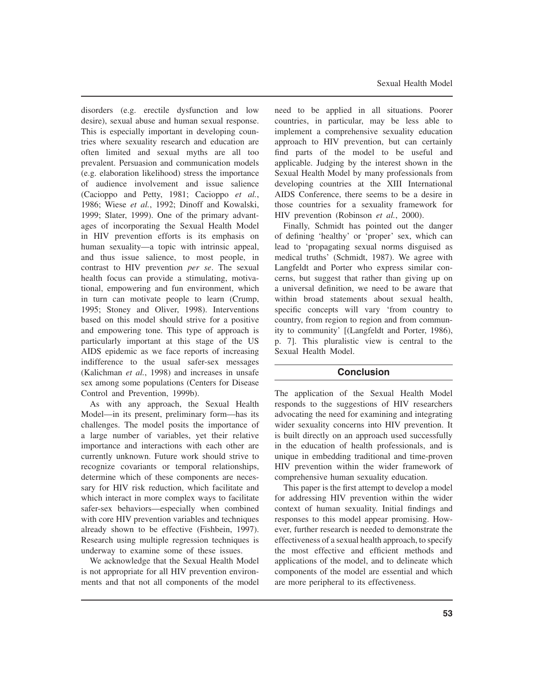Sexual Health Model

disorders (e.g. erectile dysfunction and low desire), sexual abuse and human sexual response. This is especially important in developing countries where sexuality research and education are often limited and sexual myths are all too prevalent. Persuasion and communication models (e.g. elaboration likelihood) stress the importance of audience involvement and issue salience (Cacioppo and Petty, 1981; Cacioppo *et al.*, 1986; Wiese *et al.*, 1992; Dinoff and Kowalski, 1999; Slater, 1999). One of the primary advantages of incorporating the Sexual Health Model in HIV prevention efforts is its emphasis on human sexuality—a topic with intrinsic appeal, and thus issue salience, to most people, in contrast to HIV prevention *per se*. The sexual health focus can provide a stimulating, motivational, empowering and fun environment, which in turn can motivate people to learn (Crump, 1995; Stoney and Oliver, 1998). Interventions based on this model should strive for a positive and empowering tone. This type of approach is particularly important at this stage of the US AIDS epidemic as we face reports of increasing indifference to the usual safer-sex messages (Kalichman *et al.*, 1998) and increases in unsafe sex among some populations (Centers for Disease Control and Prevention, 1999b).

As with any approach, the Sexual Health Model—in its present, preliminary form—has its challenges. The model posits the importance of a large number of variables, yet their relative importance and interactions with each other are currently unknown. Future work should strive to recognize covariants or temporal relationships, determine which of these components are necessary for HIV risk reduction, which facilitate and which interact in more complex ways to facilitate safer-sex behaviors—especially when combined with core HIV prevention variables and techniques already shown to be effective (Fishbein, 1997). Research using multiple regression techniques is underway to examine some of these issues.

We acknowledge that the Sexual Health Model is not appropriate for all HIV prevention environments and that not all components of the model need to be applied in all situations. Poorer countries, in particular, may be less able to implement a comprehensive sexuality education approach to HIV prevention, but can certainly find parts of the model to be useful and applicable. Judging by the interest shown in the Sexual Health Model by many professionals from developing countries at the XIII International AIDS Conference, there seems to be a desire in those countries for a sexuality framework for HIV prevention (Robinson *et al.*, 2000).

Finally, Schmidt has pointed out the danger of defining 'healthy' or 'proper' sex, which can lead to 'propagating sexual norms disguised as medical truths' (Schmidt, 1987). We agree with Langfeldt and Porter who express similar concerns, but suggest that rather than giving up on a universal definition, we need to be aware that within broad statements about sexual health, specific concepts will vary 'from country to country, from region to region and from community to community' [(Langfeldt and Porter, 1986), p. 7]. This pluralistic view is central to the Sexual Health Model.

### **Conclusion**

The application of the Sexual Health Model responds to the suggestions of HIV researchers advocating the need for examining and integrating wider sexuality concerns into HIV prevention. It is built directly on an approach used successfully in the education of health professionals, and is unique in embedding traditional and time-proven HIV prevention within the wider framework of comprehensive human sexuality education.

This paper is the first attempt to develop a model for addressing HIV prevention within the wider context of human sexuality. Initial findings and responses to this model appear promising. However, further research is needed to demonstrate the effectiveness of a sexual health approach, to specify the most effective and efficient methods and applications of the model, and to delineate which components of the model are essential and which are more peripheral to its effectiveness.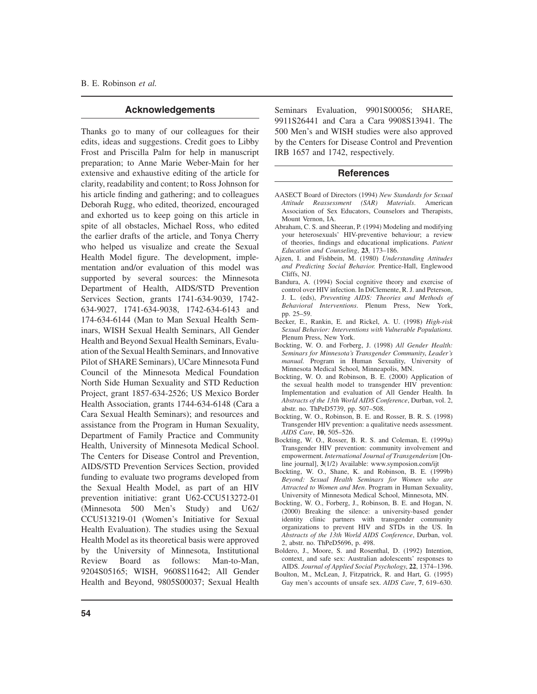#### **Acknowledgements**

Thanks go to many of our colleagues for their edits, ideas and suggestions. Credit goes to Libby Frost and Priscilla Palm for help in manuscript preparation; to Anne Marie Weber-Main for her extensive and exhaustive editing of the article for clarity, readability and content; to Ross Johnson for his article finding and gathering; and to colleagues Deborah Rugg, who edited, theorized, encouraged and exhorted us to keep going on this article in spite of all obstacles, Michael Ross, who edited the earlier drafts of the article, and Tonya Cherry who helped us visualize and create the Sexual Health Model figure. The development, implementation and/or evaluation of this model was supported by several sources: the Minnesota Department of Health, AIDS/STD Prevention Services Section, grants 1741-634-9039, 1742- 634-9027, 1741-634-9038, 1742-634-6143 and 174-634-6144 (Man to Man Sexual Health Seminars, WISH Sexual Health Seminars, All Gender Health and Beyond Sexual Health Seminars, Evaluation of the Sexual Health Seminars, and Innovative Pilot of SHARE Seminars), UCare Minnesota Fund Council of the Minnesota Medical Foundation North Side Human Sexuality and STD Reduction Project, grant 1857-634-2526; US Mexico Border Health Association, grants 1744-634-6148 (Cara a Cara Sexual Health Seminars); and resources and assistance from the Program in Human Sexuality, Department of Family Practice and Community Health, University of Minnesota Medical School. The Centers for Disease Control and Prevention, AIDS/STD Prevention Services Section, provided funding to evaluate two programs developed from the Sexual Health Model, as part of an HIV prevention initiative: grant U62-CCU513272-01 (Minnesota 500 Men's Study) and U62/ CCU513219-01 (Women's Initiative for Sexual Health Evaluation). The studies using the Sexual Health Model as its theoretical basis were approved by the University of Minnesota, Institutional Review Board as follows: Man-to-Man, 9204S05165; WISH, 9608S11642; All Gender Health and Beyond, 9805S00037; Sexual Health

Seminars Evaluation, 9901S00056; SHARE, 9911S26441 and Cara a Cara 9908S13941. The 500 Men's and WISH studies were also approved by the Centers for Disease Control and Prevention IRB 1657 and 1742, respectively.

#### **References**

- AASECT Board of Directors (1994) *New Standards for Sexual Attitude Reassessment (SAR) Materials*. American Association of Sex Educators, Counselors and Therapists, Mount Vernon, IA.
- Abraham, C. S. and Sheeran, P. (1994) Modeling and modifying your heterosexuals' HIV-preventive behaviour; a review of theories, findings and educational implications. *Patient Education and Counseling*, **23**, 173–186.
- Ajzen, I. and Fishbein, M. (1980) *Understanding Attitudes and Predicting Social Behavior.* Prentice-Hall, Englewood Cliffs, NJ.
- Bandura, A. (1994) Social cognitive theory and exercise of control over HIV infection. In DiClemente, R. J. and Peterson, J. L. (eds), *Preventing AIDS: Theories and Methods of Behavioral Interventions*. Plenum Press, New York, pp. 25–59.
- Becker, E., Rankin, E. and Rickel, A. U. (1998) *High-risk Sexual Behavior: Interventions with Vulnerable Populations.* Plenum Press, New York.
- Bockting, W. O. and Forberg, J. (1998) *All Gender Health: Seminars for Minnesota's Transgender Community*, *Leader's manual.* Program in Human Sexuality, University of Minnesota Medical School, Minneapolis, MN.
- Bockting, W. O. and Robinson, B. E. (2000) Application of the sexual health model to transgender HIV prevention: Implementation and evaluation of All Gender Health. In *Abstracts of the 13th World AIDS Conference*, Durban, vol. 2, abstr. no. ThPeD5739, pp. 507–508.
- Bockting, W. O., Robinson, B. E. and Rosser, B. R. S. (1998) Transgender HIV prevention: a qualitative needs assessment. *AIDS Care*, **10**, 505–526.
- Bockting, W. O., Rosser, B. R. S. and Coleman, E. (1999a) Transgender HIV prevention: community involvement and empowerment. *International Journal of Transgenderism* [Online journal], **3**(1/2) Available: www.symposion.com/ijt
- Bockting, W. O., Shane, K. and Robinson, B. E. (1999b) *Beyond: Sexual Health Seminars for Women who are Attracted to Women and Men*. Program in Human Sexuality, University of Minnesota Medical School, Minnesota, MN.
- Bockting, W. O., Forberg, J., Robinson, B. E. and Hogan, N. (2000) Breaking the silence: a university-based gender identity clinic partners with transgender community organizations to prevent HIV and STDs in the US. In *Abstracts of the 13th World AIDS Conference*, Durban, vol. 2, abstr. no. ThPeD5696, p. 498.
- Boldero, J., Moore, S. and Rosenthal, D. (1992) Intention, context, and safe sex: Australian adolescents' responses to AIDS. *Journal of Applied Social Psychology*, **22**, 1374–1396.
- Boulton, M., McLean, J, Fitzpatrick, R. and Hart, G. (1995) Gay men's accounts of unsafe sex. *AIDS Care*, **7**, 619–630.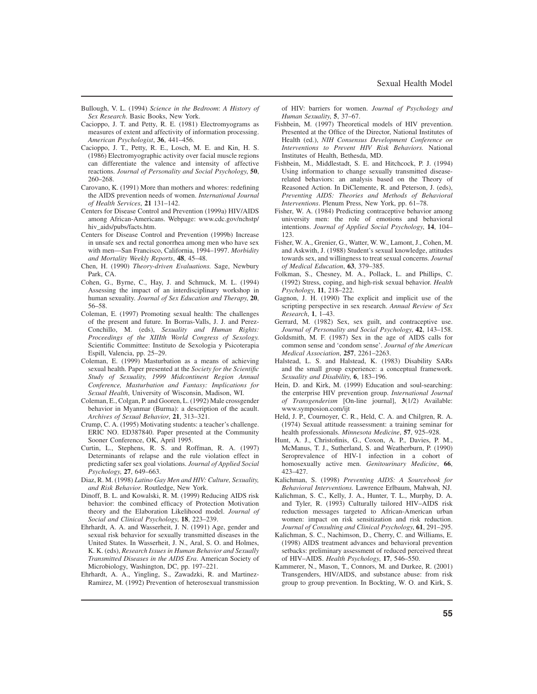Bullough, V. L. (1994) *Science in the Bedroom*: *A History of Sex Research*. Basic Books, New York.

- Cacioppo, J. T. and Petty, R. E. (1981) Electromyograms as measures of extent and affectivity of information processing. *American Psychologist*, **36**, 441–456.
- Cacioppo, J. T., Petty, R. E., Losch, M. E. and Kin, H. S. (1986) Electromyographic activity over facial muscle regions can differentiate the valence and intensity of affective reactions. *Journal of Personality and Social Psychology*, **50**, 260–268.
- Carovano, K. (1991) More than mothers and whores: redefining the AIDS prevention needs of women. *International Journal of Health Services*, **21** 131–142.
- Centers for Disease Control and Prevention (1999a) HIV/AIDS among African-Americans. Webpage: www.cdc.gov/nchstp/ hiv\_aids/pubs/facts.htm.
- Centers for Disease Control and Prevention (1999b) Increase in unsafe sex and rectal gonorrhea among men who have sex with men—San Francisco, California, 1994–1997. *Morbidity and Mortality Weekly Reports*, **48**, 45–48.
- Chen, H. (1990) *Theory-driven Evaluations.* Sage, Newbury Park, CA.
- Cohen, G., Byrne, C., Hay, J. and Schmuck, M. L. (1994) Assessing the impact of an interdisciplinary workshop in human sexuality. *Journal of Sex Education and Therapy*, **20**, 56–58.
- Coleman, E. (1997) Promoting sexual health: The challenges of the present and future. In Borras-Valls, J. J. and Perez-Conchillo, M. (eds), *Sexuality and Human Rights: Proceedings of the XIIIth World Congress of Sexology*. Scientific Committee: Instituto de Sexologia y Psicoterapia Espill, Valencia, pp. 25–29.
- Coleman, E. (1999) Masturbation as a means of achieving sexual health. Paper presented at the *Society for the Scientific Study of Sexuality, 1999 Midcontinent Region Annual Conference, Masturbation and Fantasy: Implications for Sexual Health*, University of Wisconsin, Madison, WI.
- Coleman, E., Colgan, P. and Gooren, L. (1992) Male crossgender behavior in Myanmar (Burma): a description of the acault. *Archives of Sexual Behavior*, **21**, 313–321.
- Crump, C. A. (1995) Motivating students: a teacher's challenge. ERIC NO. ED387840. Paper presented at the Community Sooner Conference, OK, April 1995.
- Curtin, L., Stephens, R. S. and Roffman, R. A. (1997) Determinants of relapse and the rule violation effect in predicting safer sex goal violations. *Journal of Applied Social Psychology*, **27**, 649–663.
- Diaz, R. M. (1998) *Latino Gay Men and HIV: Culture, Sexuality, and Risk Behavior*. Routledge, New York.
- Dinoff, B. L. and Kowalski, R. M. (1999) Reducing AIDS risk behavior: the combined efficacy of Protection Motivation theory and the Elaboration Likelihood model. *Journal of Social and Clinical Psychology*, **18**, 223–239.
- Ehrhardt, A. A. and Wasserheit, J. N. (1991) Age, gender and sexual risk behavior for sexually transmitted diseases in the United States. In Wasserheit, J. N., Aral, S. O. and Holmes, K. K. (eds), *Research Issues in Human Behavior and Sexually Transmitted Diseases in the AIDS Era*. American Society of Microbiology, Washington, DC, pp. 197–221.
- Ehrhardt, A. A., Yingling, S., Zawadzki, R. and Martinez-Ramirez, M. (1992) Prevention of heterosexual transmission

of HIV: barriers for women. *Journal of Psychology and Human Sexuality*, **5**, 37–67.

- Fishbein, M. (1997) Theoretical models of HIV prevention. Presented at the Office of the Director, National Institutes of Health (ed.), *NIH Consensus Development Conference on Interventions to Prevent HIV Risk Behaviors.* National Institutes of Health, Bethesda, MD.
- Fishbein, M., Middlestadt, S. E. and Hitchcock, P. J. (1994) Using information to change sexually transmitted diseaserelated behaviors: an analysis based on the Theory of Reasoned Action. In DiClemente, R. and Peterson, J. (eds), *Preventing AIDS: Theories and Methods of Behavioral Interventions*. Plenum Press, New York, pp. 61–78.
- Fisher, W. A. (1984) Predicting contraceptive behavior among university men: the role of emotions and behavioral intentions. *Journal of Applied Social Psychology*, **14**, 104– 123.
- Fisher, W. A., Grenier, G., Watter, W. W., Lamont, J., Cohen, M. and Askwith, J. (1988) Student's sexual knowledge, attitudes towards sex, and willingness to treat sexual concerns. *Journal of Medical Education*, **63**, 379–385.
- Folkman, S., Chesney, M. A., Pollack, L. and Phillips, C. (1992) Stress, coping, and high-risk sexual behavior. *Health Psychology*, **11**, 218–222.
- Gagnon, J. H. (1990) The explicit and implicit use of the scripting perspective in sex research. *Annual Review of Sex Research*, **1**, 1–43.
- Gerrard, M. (1982) Sex, sex guilt, and contraceptive use. *Journal of Personality and Social Psychology*, **42**, 143–158.
- Goldsmith, M. F. (1987) Sex in the age of AIDS calls for common sense and 'condom sense'. *Journal of the American Medical Association*, **257**, 2261–2263.
- Halstead, L. S. and Halstead, K. (1983) Disability SARs and the small group experience: a conceptual framework. *Sexuality and Disability*, **6**, 183–196.
- Hein, D. and Kirk, M. (1999) Education and soul-searching: the enterprise HIV prevention group. *International Journal of Transgenderism* [On-line journal], **3**(1/2) Available: www.symposion.com/ijt
- Held, J. P., Cournoyer, C. R., Held, C. A. and Chilgren, R. A. (1974) Sexual attitude reassessment: a training seminar for health professionals. *Minnesota Medicine*, **57**, 925–928.
- Hunt, A. J., Christofinis, G., Coxon, A. P., Davies, P. M., McManus, T. J., Sutherland, S. and Weatherburn, P. (1990) Seroprevalence of HIV-1 infection in a cohort of homosexually active men. *Genitourinary Medicine*, **66**, 423–427.
- Kalichman, S. (1998) *Preventing AIDS: A Sourcebook for Behavioral Interventions.* Lawrence Erlbaum, Mahwah, NJ.
- Kalichman, S. C., Kelly, J. A., Hunter, T. L., Murphy, D. A. and Tyler, R. (1993) Culturally tailored HIV–AIDS risk reduction messages targeted to African-American urban women: impact on risk sensitization and risk reduction. *Journal of Consulting and Clinical Psychology*, **61**, 291–295.
- Kalichman, S. C., Nachimson, D., Cherry, C. and Williams, E. (1998) AIDS treatment advances and behavioral prevention setbacks: preliminary assessment of reduced perceived threat of HIV–AIDS. *Health Psychology*, **17**, 546–550.
- Kammerer, N., Mason, T., Connors, M. and Durkee, R. (2001) Transgenders, HIV/AIDS, and substance abuse: from risk group to group prevention. In Bockting, W. O. and Kirk, S.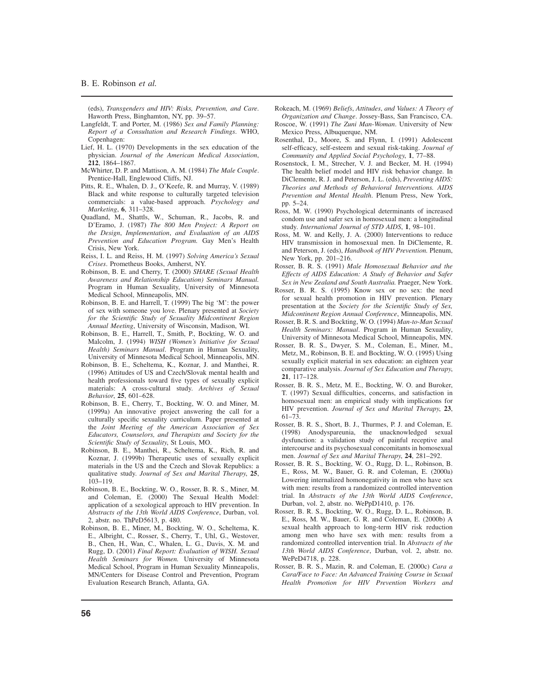(eds), *Transgenders and HIV: Risks, Prevention, and Care*. Haworth Press, Binghamton, NY, pp. 39–57.

- Langfeldt, T. and Porter, M. (1986) *Sex and Family Planning: Report of a Consultation and Research Findings*. WHO, Copenhagen:
- Lief, H. L. (1970) Developments in the sex education of the physician. *Journal of the American Medical Association*, **212**, 1864–1867.
- McWhirter, D. P. and Mattison, A. M. (1984) *The Male Couple*. Prentice-Hall, Englewood Cliffs, NJ.
- Pitts, R. E., Whalen, D. J., O'Keefe, R. and Murray, V. (1989) Black and white response to culturally targeted television commercials: a value-based approach. *Psychology and Marketing*, **6**, 311–328.
- Quadland, M., Shattls, W., Schuman, R., Jacobs, R. and D'Eramo, J. (1987) *The 800 Men Project: A Report on the Design*, *Implementation*, *and Evaluation of an AIDS Prevention and Education Program.* Gay Men's Health Crisis, New York.
- Reiss, I. L. and Reiss, H. M. (1997) *Solving America's Sexual Crises*. Prometheus Books, Amherst, NY.
- Robinson, B. E. and Cherry, T. (2000) *SHARE (Sexual Health Awareness and Relationship Education) Seminars Manual.* Program in Human Sexuality, University of Minnesota Medical School, Minneapolis, MN.
- Robinson, B. E. and Harrell, T. (1999) The big 'M': the power of sex with someone you love. Plenary presented at *Society for the Scientific Study of Sexuality Midcontinent Region Annual Meeting*, University of Wisconsin, Madison, WI.
- Robinson, B. E., Harrell, T., Smith, P., Bockting, W. O. and Malcolm, J. (1994) *WISH (Women's Initiative for Sexual Health) Seminars Manual*. Program in Human Sexuality, University of Minnesota Medical School, Minneapolis, MN.
- Robinson, B. E., Scheltema, K., Koznar, J. and Manthei, R. (1996) Attitudes of US and Czech/Slovak mental health and health professionals toward five types of sexually explicit materials: A cross-cultural study. *Archives of Sexual Behavior*, **25**, 601–628.
- Robinson, B. E., Cherry, T., Bockting, W. O. and Miner, M. (1999a) An innovative project answering the call for a culturally specific sexuality curriculum. Paper presented at the *Joint Meeting of the American Association of Sex Educators, Counselors, and Therapists and Society for the Scientific Study of Sexuality*, St Louis, MO.
- Robinson, B. E., Manthei, R., Scheltema, K., Rich, R. and Koznar, J. (1999b) Therapeutic uses of sexually explicit materials in the US and the Czech and Slovak Republics: a qualitative study. *Journal of Sex and Marital Therapy*, **25**, 103–119.
- Robinson, B. E., Bockting, W. O., Rosser, B. R. S., Miner, M. and Coleman, E. (2000) The Sexual Health Model: application of a sexological approach to HIV prevention. In *Abstracts of the 13th World AIDS Conference*, Durban, vol. 2, abstr. no. ThPeD5613, p. 480.
- Robinson, B. E., Miner, M., Bockting, W. O., Scheltema, K. E., Albright, C., Rosser, S., Cherry, T., Uhl, G., Westover, B., Chen, H., Wan, C., Whalen, L. G., Davis, X. M. and Rugg, D. (2001) *Final Report: Evaluation of WISH. Sexual Health Seminars for Women.* University of Minnesota Medical School, Program in Human Sexuality Minneapolis, MN/Centers for Disease Control and Prevention, Program Evaluation Research Branch, Atlanta, GA.

Rokeach, M. (1969) *Beliefs*, *Attitudes*, *and Values: A Theory of Organization and Change*. Jossey-Bass, San Francisco, CA.

- Roscoe, W. (1991) *The Zuni Man-Woman*. University of New Mexico Press, Albuquerque, NM.
- Rosenthal, D., Moore, S. and Flynn, I. (1991) Adolescent self-efficacy, self-esteem and sexual risk-taking. *Journal of Community and Applied Social Psychology*, **1**, 77–88.
- Rosenstock, I. M., Strecher, V. J. and Becker, M. H. (1994) The health belief model and HIV risk behavior change. In DiClemente, R. J. and Peterson, J. L. (eds), *Preventing AIDS: Theories and Methods of Behavioral Interventions. AIDS Prevention and Mental Health*. Plenum Press, New York, pp. 5–24.
- Ross, M. W. (1990) Psychological determinants of increased condom use and safer sex in homosexual men: a longitudinal study. *International Journal of STD AIDS*, **1**, 98–101.
- Ross, M. W. and Kelly, J. A. (2000) Interventions to reduce HIV transmission in homosexual men. In DiClemente, R. and Peterson, J. (eds), *Handbook of HIV Prevention.* Plenum, New York, pp. 201–216.
- Rosser, B. R. S. (1991) *Male Homosexual Behavior and the Effects of AIDS Education: A Study of Behavior and Safer Sex in New Zealand and South Australia.* Praeger, New York.
- Rosser, B. R. S. (1995) Know sex or no sex: the need for sexual health promotion in HIV prevention. Plenary presentation at the *Society for the Scientific Study of Sex, Midcontinent Region Annual Conference*, Minneapolis, MN.
- Rosser, B. R. S. and Bockting, W. O. (1994) *Man-to-Man Sexual Health Seminars: Manual*. Program in Human Sexuality, University of Minnesota Medical School, Minneapolis, MN.
- Rosser, B. R. S., Dwyer, S. M., Coleman, E., Miner, M., Metz, M., Robinson, B. E. and Bockting, W. O. (1995) Using sexually explicit material in sex education: an eighteen year comparative analysis. *Journal of Sex Education and Therapy*, **21**, 117–128.
- Rosser, B. R. S., Metz, M. E., Bockting, W. O. and Buroker, T. (1997) Sexual difficulties, concerns, and satisfaction in homosexual men: an empirical study with implications for HIV prevention. *Journal of Sex and Marital Therapy*, **23**, 61–73.
- Rosser, B. R. S., Short, B. J., Thurmes, P. J. and Coleman, E. (1998) Anodyspareunia, the unacknowledged sexual dysfunction: a validation study of painful receptive anal intercourse and its psychosexual concomitants in homosexual men. *Journal of Sex and Marital Therapy*, **24**, 281–292.
- Rosser, B. R. S., Bockting, W. O., Rugg, D. L., Robinson, B. E., Ross, M. W., Bauer, G. R. and Coleman, E. (2000a) Lowering internalized homonegativity in men who have sex with men: results from a randomized controlled intervention trial. In *Abstracts of the 13th World AIDS Conference*, Durban, vol. 2, abstr. no. WePpD1410, p. 176.
- Rosser, B. R. S., Bockting, W. O., Rugg, D. L., Robinson, B. E., Ross, M. W., Bauer, G. R. and Coleman, E. (2000b) A sexual health approach to long-term HIV risk reduction among men who have sex with men: results from a randomized controlled intervention trial. In *Abstracts of the 13th World AIDS Conference*, Durban, vol. 2, abstr. no. WePeD4718, p. 228.
- Rosser, B. R. S., Mazin, R. and Coleman, E. (2000c) *Cara a Cara/Face to Face: An Advanced Training Course in Sexual Health Promotion for HIV Prevention Workers and*